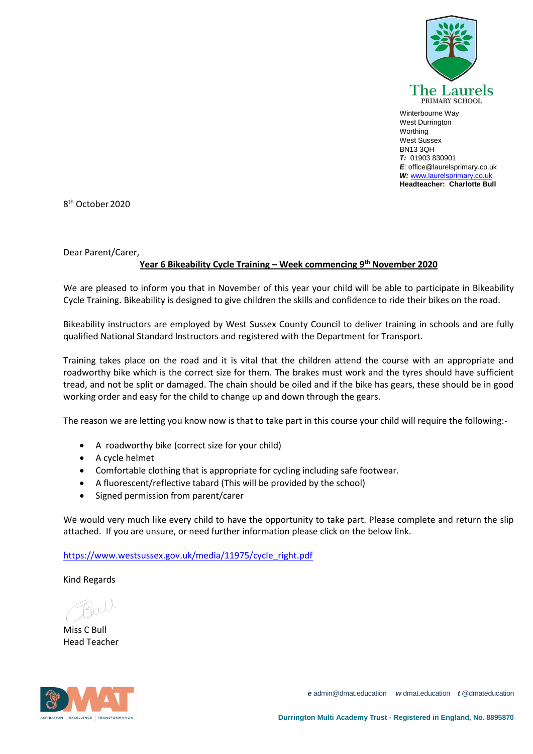

Winterbourne Way West Durrington **Worthing** West Sussex BN13 3QH *T:* 01903 830901 *E*: office@laurelsprimary.co.uk *W:* [www.laurelsprimary.co.uk](http://www.laurelsprimary.co.uk/) **Headteacher: Charlotte Bull**

8 th October 2020

Dear Parent/Carer,

## **Year 6 Bikeability Cycle Training – Week commencing 9th November 2020**

We are pleased to inform you that in November of this year your child will be able to participate in Bikeability Cycle Training. Bikeability is designed to give children the skills and confidence to ride their bikes on the road.

Bikeability instructors are employed by West Sussex County Council to deliver training in schools and are fully qualified National Standard Instructors and registered with the Department for Transport.

Training takes place on the road and it is vital that the children attend the course with an appropriate and roadworthy bike which is the correct size for them. The brakes must work and the tyres should have sufficient tread, and not be split or damaged. The chain should be oiled and if the bike has gears, these should be in good working order and easy for the child to change up and down through the gears.

The reason we are letting you know now is that to take part in this course your child will require the following:-

- A roadworthy bike (correct size for your child)
- A cycle helmet
- Comfortable clothing that is appropriate for cycling including safe footwear.
- A fluorescent/reflective tabard (This will be provided by the school)
- Signed permission from parent/carer

We would very much like every child to have the opportunity to take part. Please complete and return the slip attached. If you are unsure, or need further information please click on the below link.

[https://www.westsussex.gov.uk/media/11975/cycle\\_right.pdf](https://www.westsussex.gov.uk/media/11975/cycle_right.pdf)

Kind Regards

Miss C Bull Head Teacher



*e* admin@dmat.education *w* dmat.education *t* @dmateducation